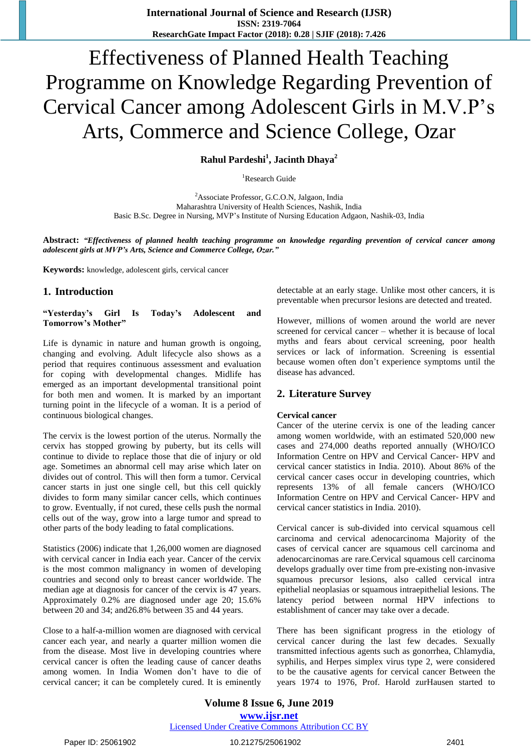# Effectiveness of Planned Health Teaching Programme on Knowledge Regarding Prevention of Cervical Cancer among Adolescent Girls in M.V.P"s Arts, Commerce and Science College, Ozar

**Rahul Pardeshi<sup>1</sup> , Jacinth Dhaya<sup>2</sup>**

<sup>1</sup>Research Guide

<sup>2</sup>Associate Professor, G.C.O.N, Jalgaon, India Maharashtra University of Health Sciences, Nashik, India Basic B.Sc. Degree in Nursing, MVP"s Institute of Nursing Education Adgaon, Nashik-03, India

Abstract: "Effectiveness of planned health teaching programme on knowledge regarding prevention of cervical cancer among *adolescent girls at MVP's Arts, Science and Commerce College, Ozar."*

**Keywords:** knowledge, adolescent girls, cervical cancer

# **1. Introduction**

**"Yesterday's Girl Is Today's Adolescent and Tomorrow's Mother"**

Life is dynamic in nature and human growth is ongoing, changing and evolving. Adult lifecycle also shows as a period that requires continuous assessment and evaluation for coping with developmental changes. Midlife has emerged as an important developmental transitional point for both men and women. It is marked by an important turning point in the lifecycle of a woman. It is a period of continuous biological changes.

The cervix is the lowest portion of the uterus. Normally the cervix has stopped growing by puberty, but its cells will continue to divide to replace those that die of injury or old age. Sometimes an abnormal cell may arise which later on divides out of control. This will then form a tumor. Cervical cancer starts in just one single cell, but this cell quickly divides to form many similar cancer cells, which continues to grow. Eventually, if not cured, these cells push the normal cells out of the way, grow into a large tumor and spread to other parts of the body leading to fatal complications.

Statistics (2006) indicate that 1,26,000 women are diagnosed with cervical cancer in India each year. Cancer of the cervix is the most common malignancy in women of developing countries and second only to breast cancer worldwide. The median age at diagnosis for cancer of the cervix is 47 years. Approximately 0.2% are diagnosed under age 20; 15.6% between 20 and 34; and26.8% between 35 and 44 years.

Close to a half-a-million women are diagnosed with cervical cancer each year, and nearly a quarter million women die from the disease. Most live in developing countries where cervical cancer is often the leading cause of cancer deaths among women. In India Women don"t have to die of cervical cancer; it can be completely cured. It is eminently detectable at an early stage. Unlike most other cancers, it is preventable when precursor lesions are detected and treated.

However, millions of women around the world are never screened for cervical cancer – whether it is because of local myths and fears about cervical screening, poor health services or lack of information. Screening is essential because women often don"t experience symptoms until the disease has advanced.

# **2. Literature Survey**

#### **Cervical cancer**

Cancer of the uterine cervix is one of the leading cancer among women worldwide, with an estimated 520,000 new cases and 274,000 deaths reported annually (WHO/ICO Information Centre on HPV and Cervical Cancer- HPV and cervical cancer statistics in India. 2010). About 86% of the cervical cancer cases occur in developing countries, which represents 13% of all female cancers (WHO/ICO Information Centre on HPV and Cervical Cancer- HPV and cervical cancer statistics in India. 2010).

Cervical cancer is sub-divided into cervical squamous cell carcinoma and cervical adenocarcinoma Majority of the cases of cervical cancer are squamous cell carcinoma and adenocarcinomas are rare.Cervical squamous cell carcinoma develops gradually over time from pre-existing non-invasive squamous precursor lesions, also called cervical intra epithelial neoplasias or squamous intraepithelial lesions. The latency period between normal HPV infections to establishment of cancer may take over a decade.

There has been significant progress in the etiology of cervical cancer during the last few decades. Sexually transmitted infectious agents such as gonorrhea, Chlamydia, syphilis, and Herpes simplex virus type 2, were considered to be the causative agents for cervical cancer Between the years 1974 to 1976, Prof. Harold zurHausen started to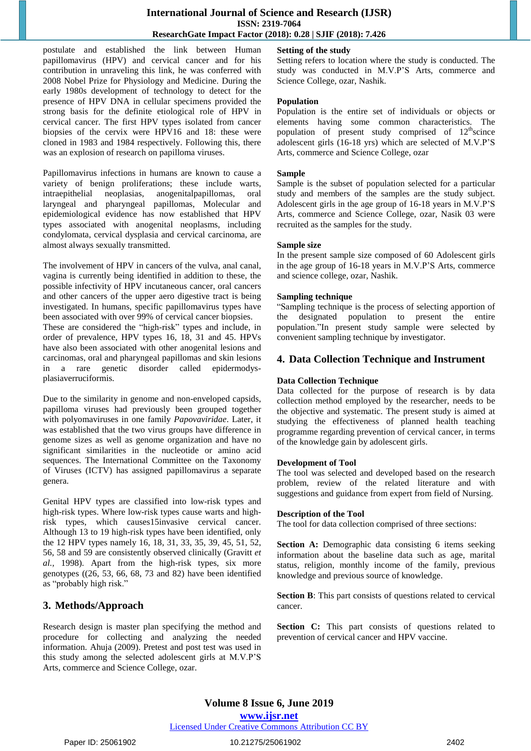#### **International Journal of Science and Research (IJSR) ISSN: 2319-7064 ResearchGate Impact Factor (2018): 0.28 | SJIF (2018): 7.426**

postulate and established the link between Human papillomavirus (HPV) and cervical cancer and for his contribution in unraveling this link, he was conferred with 2008 Nobel Prize for Physiology and Medicine. During the early 1980s development of technology to detect for the presence of HPV DNA in cellular specimens provided the strong basis for the definite etiological role of HPV in cervical cancer. The first HPV types isolated from cancer biopsies of the cervix were HPV16 and 18: these were cloned in 1983 and 1984 respectively. Following this, there was an explosion of research on papilloma viruses.

Papillomavirus infections in humans are known to cause a variety of benign proliferations; these include warts, intraepithelial neoplasias, anogenitalpapillomas, oral laryngeal and pharyngeal papillomas, Molecular and epidemiological evidence has now established that HPV types associated with anogenital neoplasms, including condylomata, cervical dysplasia and cervical carcinoma, are almost always sexually transmitted.

The involvement of HPV in cancers of the vulva, anal canal, vagina is currently being identified in addition to these, the possible infectivity of HPV incutaneous cancer, oral cancers and other cancers of the upper aero digestive tract is being investigated. In humans, specific papillomavirus types have been associated with over 99% of cervical cancer biopsies.

These are considered the "high-risk" types and include, in order of prevalence, HPV types 16, 18, 31 and 45. HPVs have also been associated with other anogenital lesions and carcinomas, oral and pharyngeal papillomas and skin lesions in a rare genetic disorder called epidermodysplasiaverruciformis.

Due to the similarity in genome and non-enveloped capsids, papilloma viruses had previously been grouped together with polyomaviruses in one family *Papovaviridae*. Later, it was established that the two virus groups have difference in genome sizes as well as genome organization and have no significant similarities in the nucleotide or amino acid sequences. The International Committee on the Taxonomy of Viruses (ICTV) has assigned papillomavirus a separate genera.

Genital HPV types are classified into low-risk types and high-risk types. Where low-risk types cause warts and highrisk types, which causes15invasive cervical cancer. Although 13 to 19 high-risk types have been identified, only the 12 HPV types namely 16, 18, 31, 33, 35, 39, 45, 51, 52, 56, 58 and 59 are consistently observed clinically (Gravitt *et al.,* 1998). Apart from the high-risk types, six more genotypes  $(26, 53, 66, 68, 73, 82)$  have been identified as "probably high risk."

# **3. Methods/Approach**

Research design is master plan specifying the method and procedure for collecting and analyzing the needed information. Ahuja (2009). Pretest and post test was used in this study among the selected adolescent girls at M.V.P"S Arts, commerce and Science College, ozar.

# **Setting of the study**

Setting refers to location where the study is conducted. The study was conducted in M.V.P"S Arts, commerce and Science College, ozar, Nashik.

# **Population**

Population is the entire set of individuals or objects or elements having some common characteristics. The population of present study comprised of  $12<sup>th</sup>$ scince adolescent girls (16-18 yrs) which are selected of M.V.P"S Arts, commerce and Science College, ozar

#### **Sample**

Sample is the subset of population selected for a particular study and members of the samples are the study subject. Adolescent girls in the age group of 16-18 years in M.V.P"S Arts, commerce and Science College, ozar, Nasik 03 were recruited as the samples for the study.

#### **Sample size**

In the present sample size composed of 60 Adolescent girls in the age group of 16-18 years in M.V.P"S Arts, commerce and science college, ozar, Nashik.

#### **Sampling technique**

"Sampling technique is the process of selecting apportion of the designated population to present the entire population."In present study sample were selected by convenient sampling technique by investigator.

# **4. Data Collection Technique and Instrument**

# **Data Collection Technique**

Data collected for the purpose of research is by data collection method employed by the researcher, needs to be the objective and systematic. The present study is aimed at studying the effectiveness of planned health teaching programme regarding prevention of cervical cancer, in terms of the knowledge gain by adolescent girls.

# **Development of Tool**

The tool was selected and developed based on the research problem, review of the related literature and with suggestions and guidance from expert from field of Nursing.

# **Description of the Tool**

The tool for data collection comprised of three sections:

**Section A:** Demographic data consisting 6 items seeking information about the baseline data such as age, marital status, religion, monthly income of the family, previous knowledge and previous source of knowledge.

**Section B**: This part consists of questions related to cervical cancer.

**Section C:** This part consists of questions related to prevention of cervical cancer and HPV vaccine.

# **Volume 8 Issue 6, June 2019 www.ijsr.net**

Licensed Under Creative Commons Attribution CC BY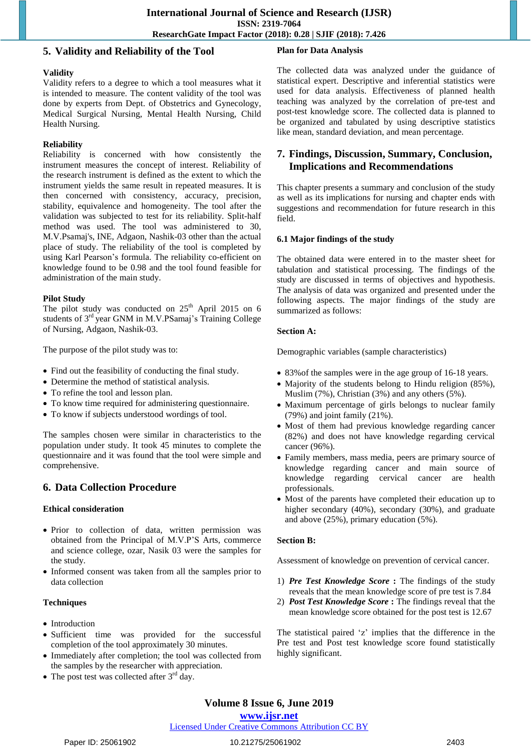# **5. Validity and Reliability of the Tool**

# **Plan for Data Analysis**

### **Validity**

Validity refers to a degree to which a tool measures what it is intended to measure. The content validity of the tool was done by experts from Dept. of Obstetrics and Gynecology, Medical Surgical Nursing, Mental Health Nursing, Child Health Nursing.

#### **Reliability**

Reliability is concerned with how consistently the instrument measures the concept of interest. Reliability of the research instrument is defined as the extent to which the instrument yields the same result in repeated measures. It is then concerned with consistency, accuracy, precision, stability, equivalence and homogeneity. The tool after the validation was subjected to test for its reliability. Split-half method was used. The tool was administered to 30, M.V.Psamaj's, INE, Adgaon, Nashik-03 other than the actual place of study. The reliability of the tool is completed by using Karl Pearson"s formula. The reliability co-efficient on knowledge found to be 0.98 and the tool found feasible for administration of the main study.

#### **Pilot Study**

The pilot study was conducted on  $25<sup>th</sup>$  April 2015 on 6 students of 3<sup>rd</sup> year GNM in M.V.PSamaj's Training College of Nursing, Adgaon, Nashik-03.

The purpose of the pilot study was to:

- Find out the feasibility of conducting the final study.
- Determine the method of statistical analysis.
- To refine the tool and lesson plan.
- To know time required for administering questionnaire.
- To know if subjects understood wordings of tool.

The samples chosen were similar in characteristics to the population under study. It took 45 minutes to complete the questionnaire and it was found that the tool were simple and comprehensive.

# **6. Data Collection Procedure**

# **Ethical consideration**

- Prior to collection of data, written permission was obtained from the Principal of M.V.P"S Arts, commerce and science college, ozar, Nasik 03 were the samples for the study.
- Informed consent was taken from all the samples prior to data collection

#### **Techniques**

- Introduction
- Sufficient time was provided for the successful completion of the tool approximately 30 minutes.
- Immediately after completion; the tool was collected from the samples by the researcher with appreciation.
- The post test was collected after  $3<sup>rd</sup>$  day.

The collected data was analyzed under the guidance of statistical expert. Descriptive and inferential statistics were used for data analysis. Effectiveness of planned health teaching was analyzed by the correlation of pre-test and post-test knowledge score. The collected data is planned to be organized and tabulated by using descriptive statistics like mean, standard deviation, and mean percentage.

# **7. Findings, Discussion, Summary, Conclusion, Implications and Recommendations**

This chapter presents a summary and conclusion of the study as well as its implications for nursing and chapter ends with suggestions and recommendation for future research in this field.

# **6.1 Major findings of the study**

The obtained data were entered in to the master sheet for tabulation and statistical processing. The findings of the study are discussed in terms of objectives and hypothesis. The analysis of data was organized and presented under the following aspects. The major findings of the study are summarized as follows:

#### **Section A:**

Demographic variables (sample characteristics)

- 83% of the samples were in the age group of 16-18 years.
- Majority of the students belong to Hindu religion (85%), Muslim (7%), Christian (3%) and any others (5%).
- Maximum percentage of girls belongs to nuclear family (79%) and joint family (21%).
- Most of them had previous knowledge regarding cancer (82%) and does not have knowledge regarding cervical cancer (96%).
- Family members, mass media, peers are primary source of knowledge regarding cancer and main source of knowledge regarding cervical cancer are health professionals.
- Most of the parents have completed their education up to higher secondary (40%), secondary (30%), and graduate and above (25%), primary education (5%).

# **Section B:**

Assessment of knowledge on prevention of cervical cancer.

- 1) *Pre Test Knowledge Score* **:** The findings of the study reveals that the mean knowledge score of pre test is 7.84
- 2) *Post Test Knowledge Score* **:** The findings reveal that the mean knowledge score obtained for the post test is 12.67

The statistical paired "z" implies that the difference in the Pre test and Post test knowledge score found statistically highly significant.

# **Volume 8 Issue 6, June 2019**

#### **www.ijsr.net**

# Licensed Under Creative Commons Attribution CC BY